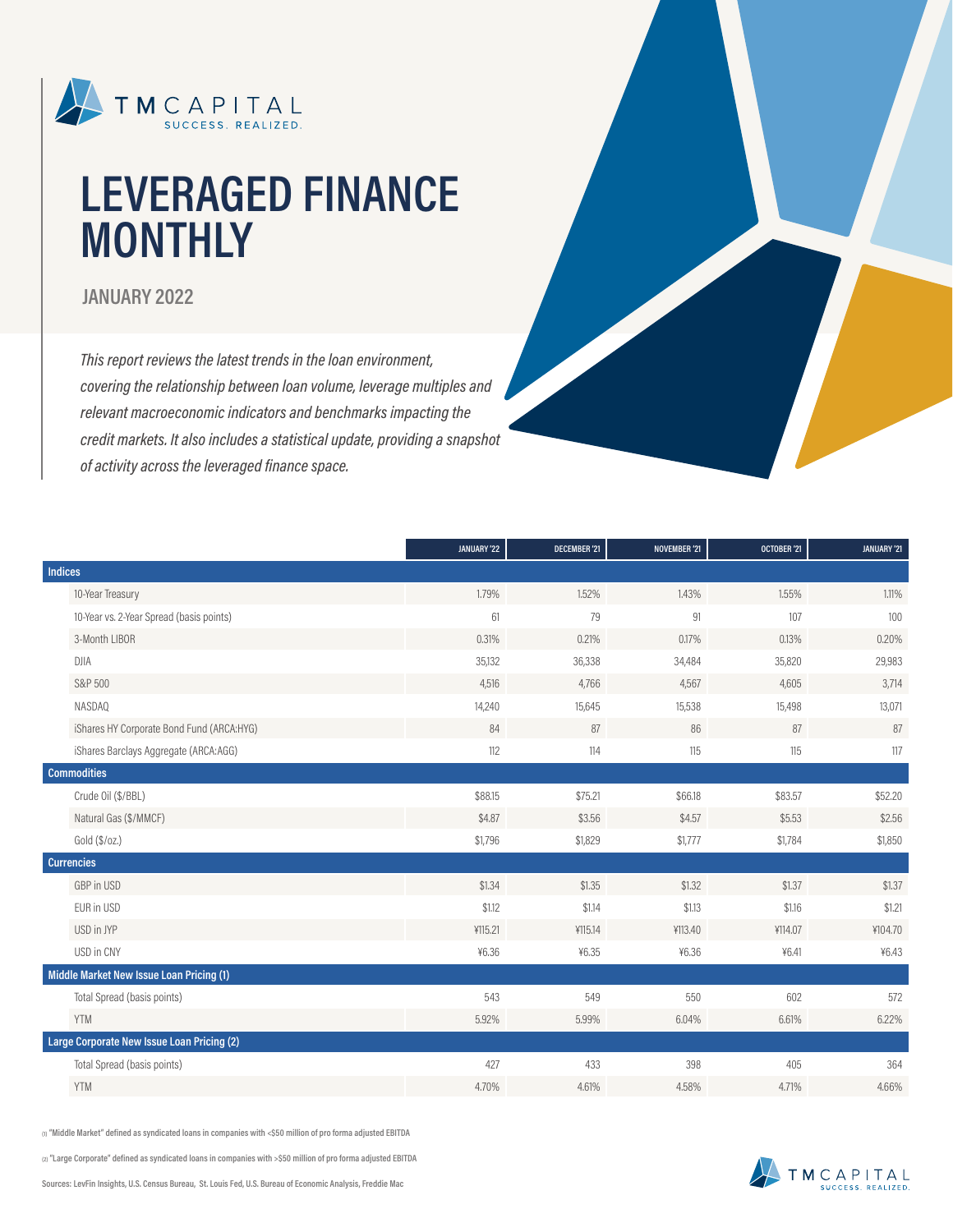

# **LEVERAGED FINANCE MONTHLY**

#### **JANUARY 2022**

*This report reviews the latest trends in the loan environment, covering the relationship between loan volume, leverage multiples and relevant macroeconomic indicators and benchmarks impacting the credit markets. It also includes a statistical update, providing a snapshot of activity across the leveraged finance space.*

|         |                                            | JANUARY '22 | <b>DECEMBER '21</b> | NOVEMBER '21 | OCTOBER '21 | JANUARY '21 |
|---------|--------------------------------------------|-------------|---------------------|--------------|-------------|-------------|
| Indices |                                            |             |                     |              |             |             |
|         | 10-Year Treasury                           | 1.79%       | 1.52%               | 1.43%        | 1.55%       | 1.11%       |
|         | 10-Year vs. 2-Year Spread (basis points)   | 61          | 79                  | 91           | 107         | 100         |
|         | 3-Month LIBOR                              | 0.31%       | 0.21%               | 0.17%        | 0.13%       | 0.20%       |
|         | <b>DJIA</b>                                | 35,132      | 36,338              | 34,484       | 35,820      | 29,983      |
|         | S&P 500                                    | 4,516       | 4,766               | 4,567        | 4,605       | 3,714       |
|         | NASDAQ                                     | 14,240      | 15,645              | 15,538       | 15,498      | 13,071      |
|         | iShares HY Corporate Bond Fund (ARCA:HYG)  | 84          | 87                  | 86           | 87          | 87          |
|         | iShares Barclays Aggregate (ARCA:AGG)      | 112         | 114                 | 115          | 115         | 117         |
|         | <b>Commodities</b>                         |             |                     |              |             |             |
|         | Crude Oil (\$/BBL)                         | \$88.15     | \$75.21             | \$66.18      | \$83.57     | \$52.20     |
|         | Natural Gas (\$/MMCF)                      | \$4.87      | \$3.56              | \$4.57       | \$5.53      | \$2.56      |
|         | Gold (\$/oz.)                              | \$1,796     | \$1,829             | \$1,777      | \$1,784     | \$1,850     |
|         | <b>Currencies</b>                          |             |                     |              |             |             |
|         | GBP in USD                                 | \$1.34      | \$1.35              | \$1.32       | \$1.37      | \$1.37      |
|         | EUR in USD                                 | \$1.12      | \$1.14              | \$1.13       | \$1.16      | \$1.21      |
|         | USD in JYP                                 | ¥115.21     | ¥115.14             | ¥113.40      | ¥114.07     | ¥104.70     |
|         | USD in CNY                                 | ¥6.36       | ¥6.35               | ¥6.36        | 46.41       | ¥6.43       |
|         | Middle Market New Issue Loan Pricing (1)   |             |                     |              |             |             |
|         | Total Spread (basis points)                | 543         | 549                 | 550          | 602         | 572         |
|         | <b>YTM</b>                                 | 5.92%       | 5.99%               | 6.04%        | 6.61%       | 6.22%       |
|         | Large Corporate New Issue Loan Pricing (2) |             |                     |              |             |             |
|         | Total Spread (basis points)                | 427         | 433                 | 398          | 405         | 364         |
|         | <b>YTM</b>                                 | 4.70%       | 4.61%               | 4.58%        | 4.71%       | 4.66%       |

**(1) "Middle Market" defined as syndicated loans in companies with <\$50 million of pro forma adjusted EBITDA**

**(2) "Large Corporate" defined as syndicated loans in companies with >\$50 million of pro forma adjusted EBITDA**

**Sources: LevFin Insights, U.S. Census Bureau, St. Louis Fed, U.S. Bureau of Economic Analysis, Freddie Mac**

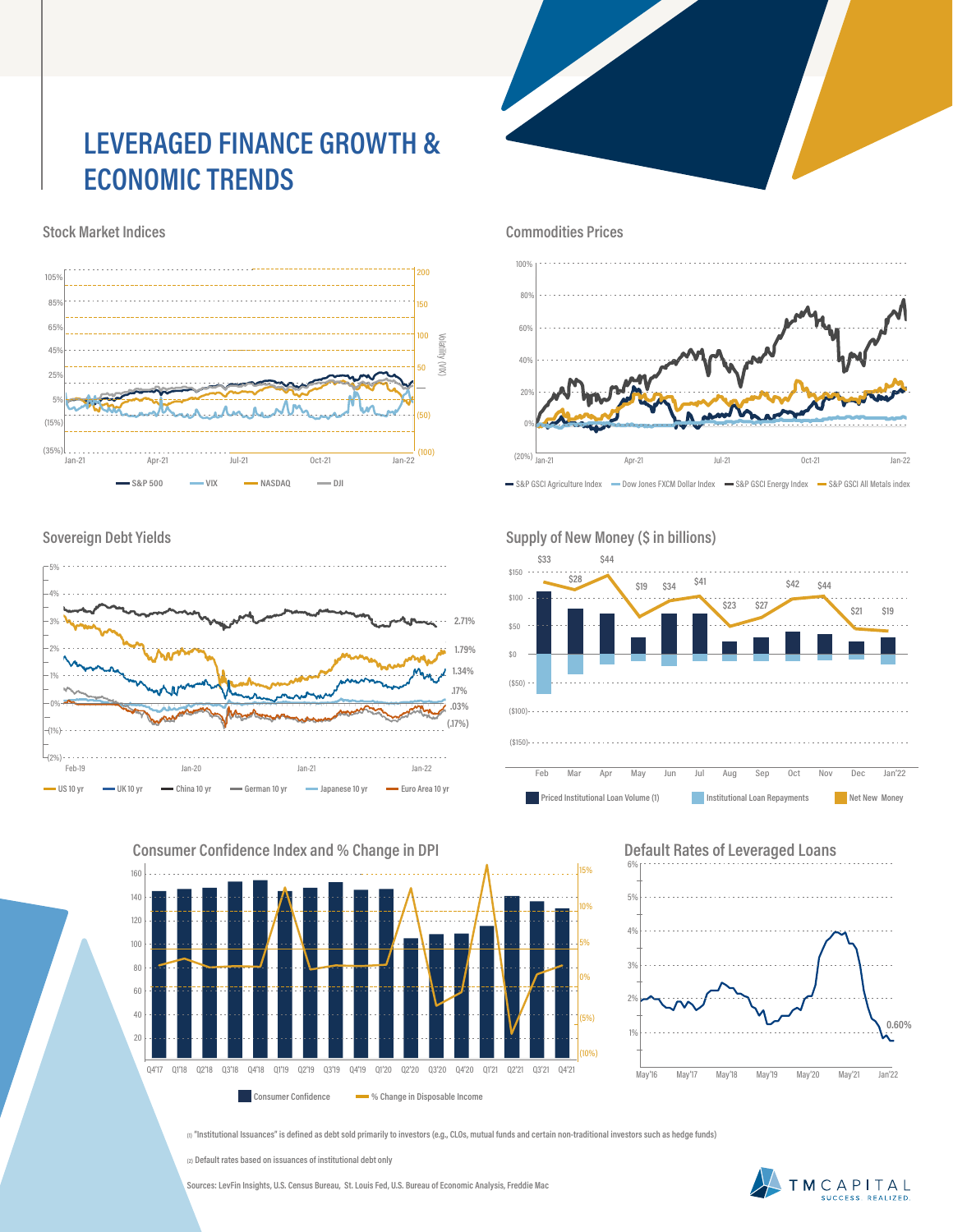# **LEVERAGED FINANCE GROWTH & ECONOMIC TRENDS**

**Stock Market Indices**



 $\overline{2}$  $\overline{0}$  $\overline{\phantom{0}}$ **Commodities Prices** 80% 60% 40% 0% 20% 100%

S&P GSCI Agriculture Index - Dow Jones FXCM Dollar Index - S&P GSCI Energy Index - S&P GSCI All Metals index

 $\frac{20\%}{20\%}$ 

Jan-21 Apr-21 Jul-21 Oct-21 Jan-22

#### **Sovereign Debt Yields**



**160 Consumer Confidence Index and % Change in DPI**



#### **Default Rates of Leveraged Loans** 6%



**(1) "Institutional Issuances" is defined as debt sold primarily to investors (e.g., CLOs, mutual funds and certain non-traditional investors such as hedge funds)**

**(2) Default rates based on issuances of institutional debt only**

**Sources: LevFin Insights, U.S. Census Bureau, St. Louis Fed, U.S. Bureau of Economic Analysis, Freddie Mac**



#### Supply of New Money (\$ in billions)

(20%)